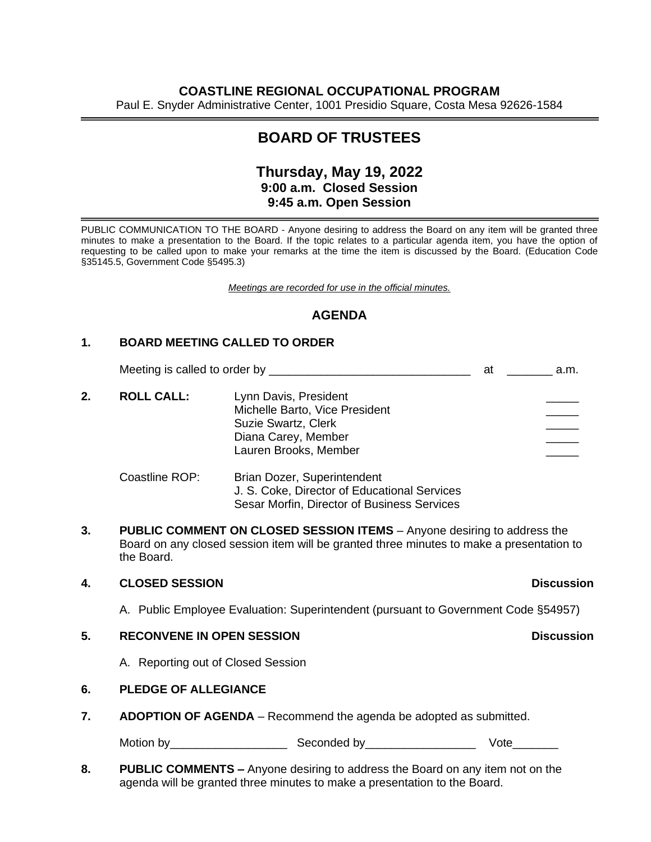### **COASTLINE REGIONAL OCCUPATIONAL PROGRAM**

Paul E. Snyder Administrative Center, 1001 Presidio Square, Costa Mesa 92626-1584

# **BOARD OF TRUSTEES**

## **Thursday, May 19, 2022 9:00 a.m. Closed Session 9:45 a.m. Open Session**

 PUBLIC COMMUNICATION TO THE BOARD - Anyone desiring to address the Board on any item will be granted three minutes to make a presentation to the Board. If the topic relates to a particular agenda item, you have the option of requesting to be called upon to make your remarks at the time the item is discussed by the Board. (Education Code §35145.5, Government Code §5495.3)

*Meetings are recorded for use in the official minutes.*

### **AGENDA**

### **1. BOARD MEETING CALLED TO ORDER**

Meeting is called to order by \_\_\_\_\_\_\_\_\_\_\_\_\_\_\_\_\_\_\_\_\_\_\_\_\_\_\_\_\_\_\_ at \_\_\_\_\_\_\_ a.m.

**2. ROLL CALL:** Lynn Davis, President \_\_\_\_\_ Michelle Barto, Vice President Suzie Swartz, Clerk Diana Carey, Member Lauren Brooks, Member Coastline ROP: Brian Dozer, Superintendent

# J. S. Coke, Director of Educational Services Sesar Morfin, Director of Business Services

**3. PUBLIC COMMENT ON CLOSED SESSION ITEMS** – Anyone desiring to address the Board on any closed session item will be granted three minutes to make a presentation to the Board.

### **4. CLOSED SESSION Discussion**

A. Public Employee Evaluation: Superintendent (pursuant to Government Code §54957)

### **5. RECONVENE IN OPEN SESSION Discussion**

A. Reporting out of Closed Session

### **6. PLEDGE OF ALLEGIANCE**

**7. ADOPTION OF AGENDA** – Recommend the agenda be adopted as submitted.

Motion by\_\_\_\_\_\_\_\_\_\_\_\_\_\_\_\_\_\_ Seconded by\_\_\_\_\_\_\_\_\_\_\_\_\_\_\_\_\_ Vote\_\_\_\_\_\_\_

**8. PUBLIC COMMENTS –** Anyone desiring to address the Board on any item not on the agenda will be granted three minutes to make a presentation to the Board.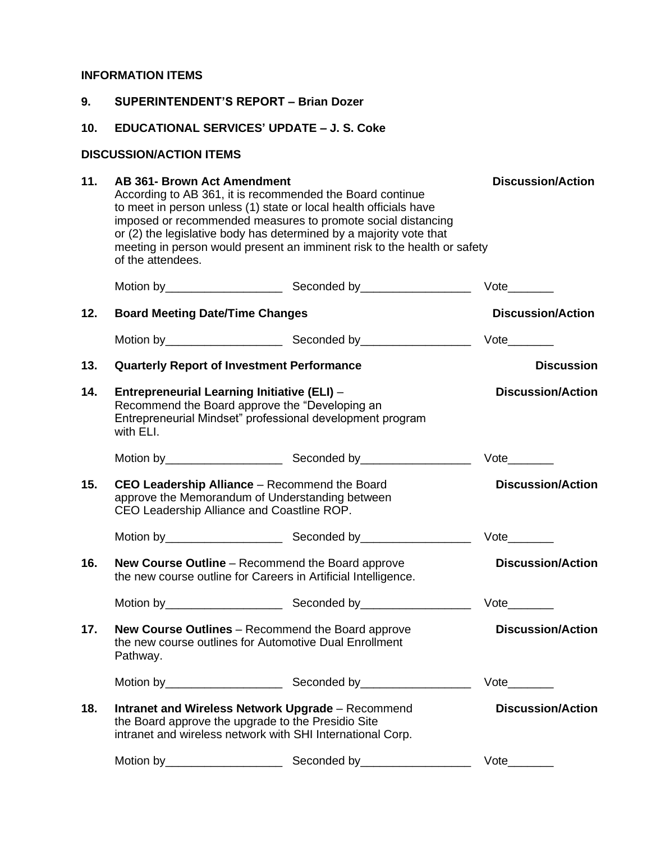### **INFORMATION ITEMS**

|  | 9. | <b>SUPERINTENDENT'S REPORT - Brian Dozer</b> |
|--|----|----------------------------------------------|
|--|----|----------------------------------------------|

## **10. EDUCATIONAL SERVICES' UPDATE – J. S. Coke**

# **DISCUSSION/ACTION ITEMS**

| 11. | <b>AB 361- Brown Act Amendment</b><br>According to AB 361, it is recommended the Board continue<br>to meet in person unless (1) state or local health officials have<br>of the attendees. | imposed or recommended measures to promote social distancing<br>or (2) the legislative body has determined by a majority vote that<br>meeting in person would present an imminent risk to the health or safety | <b>Discussion/Action</b>    |  |
|-----|-------------------------------------------------------------------------------------------------------------------------------------------------------------------------------------------|----------------------------------------------------------------------------------------------------------------------------------------------------------------------------------------------------------------|-----------------------------|--|
|     |                                                                                                                                                                                           |                                                                                                                                                                                                                |                             |  |
| 12. |                                                                                                                                                                                           | <b>Board Meeting Date/Time Changes</b>                                                                                                                                                                         |                             |  |
|     |                                                                                                                                                                                           |                                                                                                                                                                                                                |                             |  |
| 13. | <b>Quarterly Report of Investment Performance</b>                                                                                                                                         | <b>Discussion</b>                                                                                                                                                                                              |                             |  |
| 14. | Entrepreneurial Learning Initiative (ELI) -<br>Recommend the Board approve the "Developing an<br>Entrepreneurial Mindset" professional development program<br>with ELI.                   | <b>Discussion/Action</b>                                                                                                                                                                                       |                             |  |
|     |                                                                                                                                                                                           |                                                                                                                                                                                                                |                             |  |
| 15. | <b>CEO Leadership Alliance</b> – Recommend the Board<br>approve the Memorandum of Understanding between<br>CEO Leadership Alliance and Coastline ROP.                                     | <b>Discussion/Action</b>                                                                                                                                                                                       |                             |  |
|     |                                                                                                                                                                                           |                                                                                                                                                                                                                | $Vote$ <sub>_________</sub> |  |
| 16. | <b>New Course Outline</b> – Recommend the Board approve<br>the new course outline for Careers in Artificial Intelligence.                                                                 |                                                                                                                                                                                                                | <b>Discussion/Action</b>    |  |
|     |                                                                                                                                                                                           |                                                                                                                                                                                                                | Vote                        |  |
| 17. | <b>New Course Outlines</b> – Recommend the Board approve<br>the new course outlines for Automotive Dual Enrollment<br>Pathway.                                                            |                                                                                                                                                                                                                | <b>Discussion/Action</b>    |  |
|     |                                                                                                                                                                                           |                                                                                                                                                                                                                | Vote                        |  |
| 18. | Intranet and Wireless Network Upgrade - Recommend<br>the Board approve the upgrade to the Presidio Site<br>intranet and wireless network with SHI International Corp.                     |                                                                                                                                                                                                                | <b>Discussion/Action</b>    |  |
|     |                                                                                                                                                                                           |                                                                                                                                                                                                                | $Vote$ <sub>_________</sub> |  |